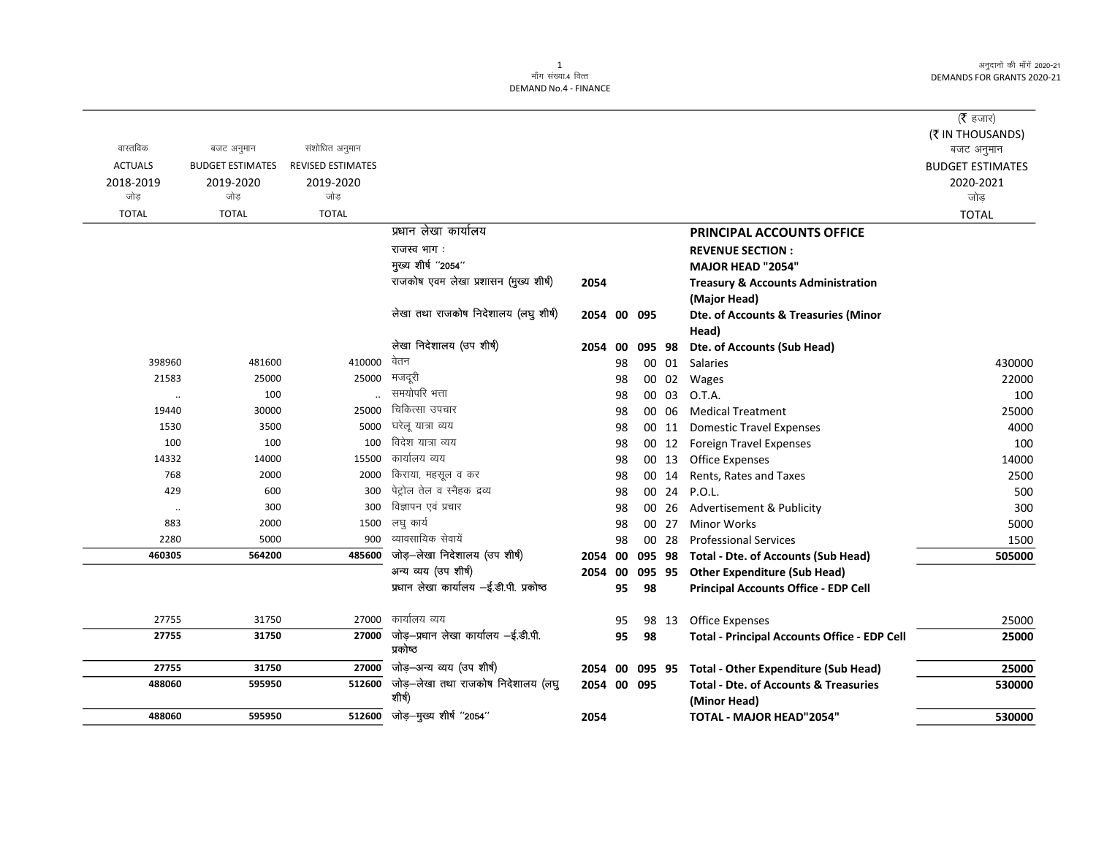अनुदानों की माँगें 2020-21 DEMANDS FOR GRANTS 2020-21

## 1<br>माँग संख्या.4 वित्त DEMAND No.4 - FINANCE

| वास्तविक<br><b>ACTUALS</b><br>2018-2019 | बजट अनुमान<br><b>BUDGET ESTIMATES</b><br>2019-2020 | संशोधित अनुमान<br><b>REVISED ESTIMATES</b><br>2019-2020 |                                                 |             |    |        |       |                                                                  | ( $\bar{\tau}$ हजार)<br>(₹ IN THOUSANDS)<br>बजट अनुमान<br><b>BUDGET ESTIMATES</b><br>2020-2021 |
|-----------------------------------------|----------------------------------------------------|---------------------------------------------------------|-------------------------------------------------|-------------|----|--------|-------|------------------------------------------------------------------|------------------------------------------------------------------------------------------------|
| जोड                                     | जोड                                                | जोड़                                                    |                                                 |             |    |        |       |                                                                  | जोड़                                                                                           |
| <b>TOTAL</b>                            | <b>TOTAL</b>                                       | <b>TOTAL</b>                                            |                                                 |             |    |        |       |                                                                  | <b>TOTAL</b>                                                                                   |
|                                         |                                                    |                                                         | प्रधान लेखा कार्यालय                            |             |    |        |       | PRINCIPAL ACCOUNTS OFFICE                                        |                                                                                                |
|                                         |                                                    |                                                         | राजस्व भाग:                                     |             |    |        |       | <b>REVENUE SECTION:</b>                                          |                                                                                                |
|                                         |                                                    |                                                         | मुख्य शीर्ष "2054"                              |             |    |        |       | <b>MAJOR HEAD "2054"</b>                                         |                                                                                                |
|                                         |                                                    |                                                         | राजकोष एवम लेखा प्रशासन (मुख्य शीर्ष)           | 2054        |    |        |       | <b>Treasury &amp; Accounts Administration</b>                    |                                                                                                |
|                                         |                                                    |                                                         |                                                 |             |    |        |       | (Major Head)                                                     |                                                                                                |
|                                         |                                                    |                                                         | लेखा तथा राजकोष निदेशालय (लघु शीर्ष)            | 2054 00 095 |    |        |       | Dte. of Accounts & Treasuries (Minor                             |                                                                                                |
|                                         |                                                    |                                                         |                                                 |             |    |        |       | Head)                                                            |                                                                                                |
|                                         |                                                    |                                                         | लेखा निदेशालय (उप शीर्ष)                        | 2054 00     |    | 095 98 |       | Dte. of Accounts (Sub Head)                                      |                                                                                                |
| 398960                                  | 481600                                             | 410000                                                  | वेतन                                            |             | 98 |        | 00 01 | Salaries                                                         | 430000                                                                                         |
| 21583                                   | 25000                                              | 25000                                                   | मजदूरी                                          |             | 98 |        |       | 00 02 Wages                                                      | 22000                                                                                          |
| $\ldots$                                | 100                                                |                                                         | समयोपरि भत्ता                                   |             | 98 |        | 00 03 | O.T.A.                                                           | 100                                                                                            |
| 19440                                   | 30000                                              | 25000                                                   | चिकित्सा उपचार                                  |             | 98 |        | 00 06 | <b>Medical Treatment</b>                                         | 25000                                                                                          |
| 1530                                    | 3500                                               | 5000                                                    | घरेल यात्रा व्यय                                |             | 98 |        | 00 11 | <b>Domestic Travel Expenses</b>                                  | 4000                                                                                           |
| 100                                     | 100                                                | 100                                                     | विदेश यात्रा व्यय                               |             | 98 |        | 00 12 | Foreign Travel Expenses                                          | 100                                                                                            |
| 14332                                   | 14000                                              | 15500                                                   | कार्यालय व्यय                                   |             | 98 |        | 00 13 | <b>Office Expenses</b>                                           | 14000                                                                                          |
| 768                                     | 2000                                               | 2000                                                    | किराया, महसूल व कर                              |             | 98 |        | 00 14 | Rents, Rates and Taxes                                           | 2500                                                                                           |
| 429                                     | 600                                                | 300                                                     | पेट्रोल तेल व स्नैहक द्रव्य                     |             | 98 |        | 00 24 | <b>P.O.L.</b>                                                    | 500                                                                                            |
| $\ldots$                                | 300                                                | 300                                                     | विज्ञापन एवं प्रचार                             |             | 98 |        | 00 26 | Advertisement & Publicity                                        | 300                                                                                            |
| 883                                     | 2000                                               | 1500                                                    | लघु कार्य                                       |             | 98 |        | 00 27 | <b>Minor Works</b>                                               | 5000                                                                                           |
| 2280                                    | 5000                                               | 900                                                     | व्यावसायिक सेवायें                              |             | 98 |        | 00 28 | <b>Professional Services</b>                                     | 1500                                                                                           |
| 460305                                  | 564200                                             | 485600                                                  | जोड़-लेखा निदेशालय (उप शीर्ष)                   | 2054 00     |    | 095 98 |       | <b>Total - Dte. of Accounts (Sub Head)</b>                       | 505000                                                                                         |
|                                         |                                                    |                                                         | अन्य व्यय (उप शीर्ष)                            | 2054 00     |    | 095 95 |       | <b>Other Expenditure (Sub Head)</b>                              |                                                                                                |
|                                         |                                                    |                                                         | प्रधान लेखा कार्यालय -ई.डी.पी. प्रकोष्ठ         |             | 95 | 98     |       | <b>Principal Accounts Office - EDP Cell</b>                      |                                                                                                |
| 27755                                   | 31750                                              | 27000                                                   | कार्यालय व्यय                                   |             | 95 |        | 98 13 | <b>Office Expenses</b>                                           | 25000                                                                                          |
| 27755                                   | 31750                                              | 27000                                                   | जोड़-प्रधान लेखा कार्यालय -ई.डी.पी.<br>प्रकोष्ठ |             | 95 | 98     |       | <b>Total - Principal Accounts Office - EDP Cell</b>              | 25000                                                                                          |
| 27755                                   | 31750                                              | 27000                                                   | जोड़-अन्य व्यय (उप शीर्ष)                       | 2054 00     |    | 095 95 |       | <b>Total - Other Expenditure (Sub Head)</b>                      | 25000                                                                                          |
| 488060                                  | 595950                                             | 512600                                                  | जोड़—लेखा तथा राजकोष निदेशालय (लघु<br>शीर्ष)    | 2054 00 095 |    |        |       | <b>Total - Dte. of Accounts &amp; Treasuries</b><br>(Minor Head) | 530000                                                                                         |
| 488060                                  | 595950                                             | 512600                                                  | जोड़-मुख्य शीर्ष "2054"                         | 2054        |    |        |       | TOTAL - MAJOR HEAD"2054"                                         | 530000                                                                                         |
|                                         |                                                    |                                                         |                                                 |             |    |        |       |                                                                  |                                                                                                |